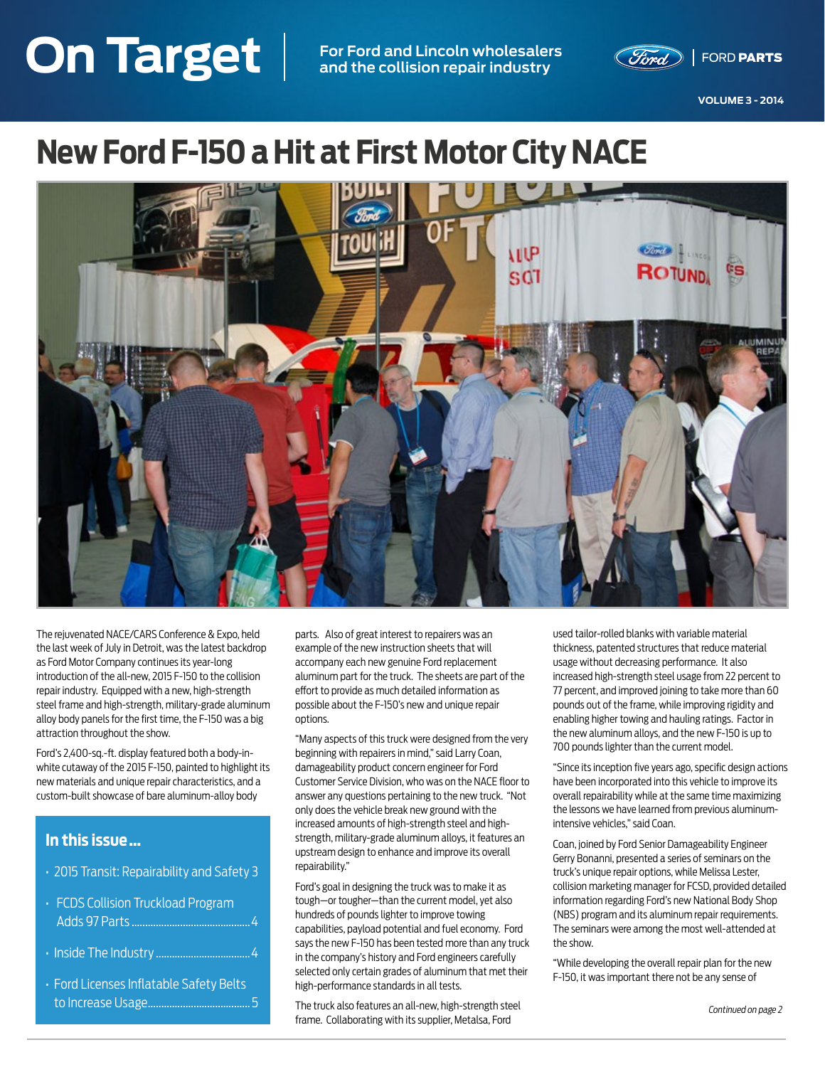## <span id="page-0-0"></span>**On Target VOLUME 3 - 2014 On Target For Ford and Lincoln wholesalers**

**and the collision repair industry**



**VOLUME 3 - 2014**

# **New Ford F-150 a Hit at First Motor City NACE**



The rejuvenated NACE/CARS Conference & Expo, held the last week of July in Detroit, was the latest backdrop as Ford Motor Company continues its year-long introduction of the all-new, 2015 F-150 to the collision repair industry. Equipped with a new, high-strength steel frame and high-strength, military-grade aluminum alloy body panels for the first time, the F-150 was a big attraction throughout the show.

Ford's 2,400-sq.-ft. display featured both a body-inwhite cutaway of the 2015 F-150, painted to highlight its new materials and unique repair characteristics, and a custom-built showcase of bare aluminum-alloy body

### **In this issue …**

- [2015 Transit: Repairability and Safety](#page-2-0) 3
- FCDS Collision Truckload Program [Adds 97 Parts............................................4](#page-3-0)
- [Inside The Industry](#page-3-0) ...................................4
- Ford Licenses Inflatable Safety Belts [to Increase Usage......................................5](#page-4-0) *[Continued on page 2](#page-1-0)*

parts. Also of great interest to repairers was an example of the new instruction sheets that will accompany each new genuine Ford replacement aluminum part for the truck. The sheets are part of the effort to provide as much detailed information as possible about the F-150's new and unique repair options.

"Many aspects of this truck were designed from the very beginning with repairers in mind," said Larry Coan, damageability product concern engineer for Ford Customer Service Division, who was on the NACE floor to answer any questions pertaining to the new truck. "Not only does the vehicle break new ground with the increased amounts of high-strength steel and highstrength, military-grade aluminum alloys, it features an upstream design to enhance and improve its overall repairability."

Ford's goal in designing the truck was to make it as tough—or tougher—than the current model, yet also hundreds of pounds lighter to improve towing capabilities, payload potential and fuel economy. Ford says the new F-150 has been tested more than any truck in the company's history and Ford engineers carefully selected only certain grades of aluminum that met their high-performance standards in all tests.

The truck also features an all-new, high-strength steel frame. Collaborating with its supplier, Metalsa, Ford

used tailor-rolled blanks with variable material thickness, patented structures that reduce material usage without decreasing performance. It also increased high-strength steel usage from 22 percent to 77 percent, and improved joining to take more than 60 pounds out of the frame, while improving rigidity and enabling higher towing and hauling ratings. Factor in the new aluminum alloys, and the new F-150 is up to 700 pounds lighter than the current model.

"Since its inception five years ago, specific design actions have been incorporated into this vehicle to improve its overall repairability while at the same time maximizing the lessons we have learned from previous aluminumintensive vehicles," said Coan.

Coan, joined by Ford Senior Damageability Engineer Gerry Bonanni, presented a series of seminars on the truck's unique repair options, while Melissa Lester, collision marketing manager for FCSD, provided detailed information regarding Ford's new National Body Shop (NBS) program and its aluminum repair requirements. The seminars were among the most well-attended at the show.

"While developing the overall repair plan for the new F-150, it was important there not be any sense of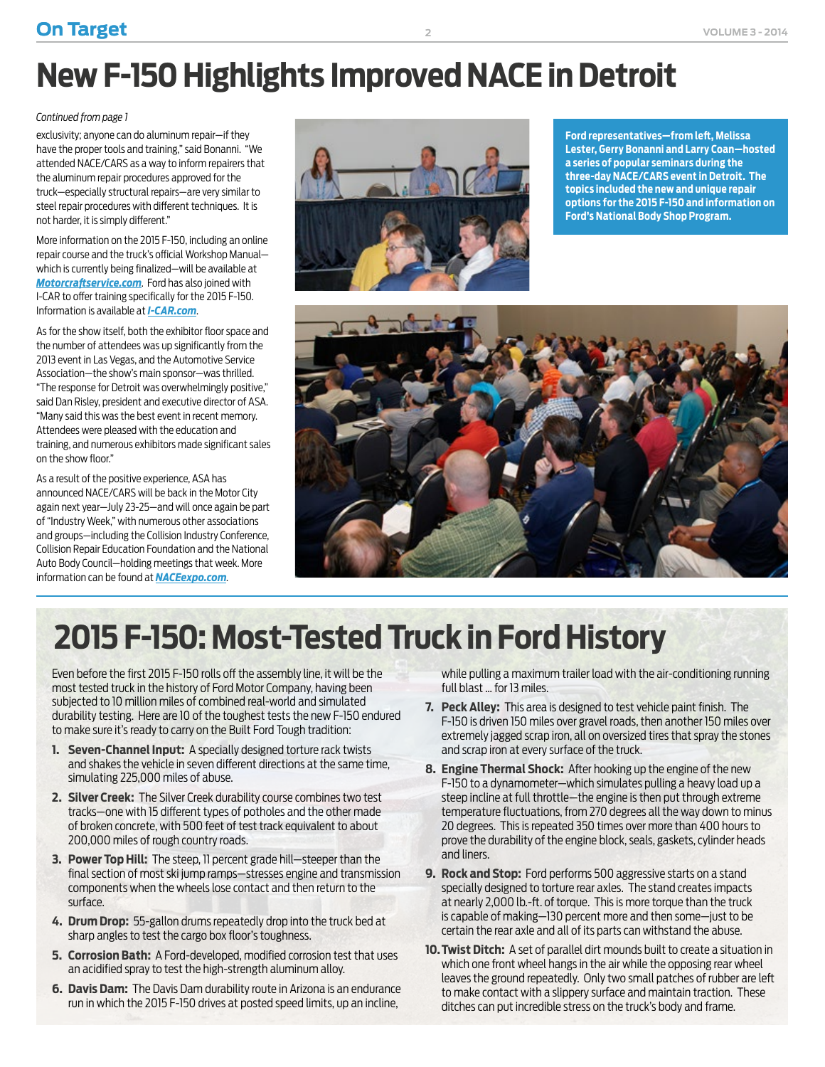# <span id="page-1-0"></span>**New F-150 Highlights Improved NACE in Detroit**

#### *[Continued from page 1](#page-0-0)*

exclusivity; anyone can do aluminum repair—if they have the proper tools and training," said Bonanni. "We attended NACE/CARS as a way to inform repairers that the aluminum repair procedures approved for the truck—especially structural repairs—are very similar to steel repair procedures with different techniques. It is not harder, it is simply different."

More information on the 2015 F-150, including an online repair course and the truck's official Workshop Manual which is currently being finalized—will be available at *[Motorcraftservice.com](http://Motorcraftservice.com)*. Ford has also joined with I-CAR to offer training specifically for the 2015 F-150. Information is available at *[I-CAR.com](http://I-CAR.com)*.

As for the show itself, both the exhibitor floor space and the number of attendees was up significantly from the 2013 event in Las Vegas, and the Automotive Service Association—the show's main sponsor—was thrilled. "The response for Detroit was overwhelmingly positive," said Dan Risley, president and executive director of ASA. "Many said this was the best event in recent memory. Attendees were pleased with the education and training, and numerous exhibitors made significant sales on the show floor."

As a result of the positive experience, ASA has announced NACE/CARS will be back in the Motor City again next year—July 23-25—and will once again be part of "Industry Week," with numerous other associations and groups—including the Collision Industry Conference, Collision Repair Education Foundation and the National Auto Body Council—holding meetings that week. More information can be found at *[NACEexpo.com](http://NACEexpo.com)*.



**Ford representatives—from left, Melissa Lester, Gerry Bonanni and Larry Coan—hosted a series of popular seminars during the three-day NACE/CARS event in Detroit. The topics included the new and unique repair options for the 2015 F-150 and information on Ford's National Body Shop Program.**



# **2015 F-150: Most-Tested Truck in Ford History**

Even before the first 2015 F-150 rolls off the assembly line, it will be the most tested truck in the history of Ford Motor Company, having been subjected to 10 million miles of combined real-world and simulated durability testing. Here are 10 of the toughest tests the new F-150 endured to make sure it's ready to carry on the Built Ford Tough tradition:

- **1. Seven-Channel Input:** A specially designed torture rack twists and shakes the vehicle in seven different directions at the same time, simulating 225,000 miles of abuse.
- **2. Silver Creek:** The Silver Creek durability course combines two test tracks—one with 15 different types of potholes and the other made of broken concrete, with 500 feet of test track equivalent to about 200,000 miles of rough country roads.
- **3. Power Top Hill:** The steep, 11 percent grade hill—steeper than the final section of most ski jump ramps—stresses engine and transmission components when the wheels lose contact and then return to the surface.
- **4. Drum Drop:** 55-gallon drums repeatedly drop into the truck bed at sharp angles to test the cargo box floor's toughness.
- **5. Corrosion Bath:** A Ford-developed, modified corrosion test that uses an acidified spray to test the high-strength aluminum alloy.
- **6. Davis Dam:** The Davis Dam durability route in Arizona is an endurance run in which the 2015 F-150 drives at posted speed limits, up an incline,

while pulling a maximum trailer load with the air-conditioning running full blast … for 13 miles.

- **7. Peck Alley:** This area is designed to test vehicle paint finish. The F-150 is driven 150 miles over gravel roads, then another 150 miles over extremely jagged scrap iron, all on oversized tires that spray the stones and scrap iron at every surface of the truck.
- **8. Engine Thermal Shock:** After hooking up the engine of the new F-150 to a dynamometer—which simulates pulling a heavy load up a steep incline at full throttle—the engine is then put through extreme temperature fluctuations, from 270 degrees all the way down to minus 20 degrees. This is repeated 350 times over more than 400 hours to prove the durability of the engine block, seals, gaskets, cylinder heads and liners.
- **9. Rock and Stop:** Ford performs 500 aggressive starts on a stand specially designed to torture rear axles. The stand creates impacts at nearly 2,000 lb.-ft. of torque. This is more torque than the truck is capable of making—130 percent more and then some—just to be certain the rear axle and all of its parts can withstand the abuse.
- **10. Twist Ditch:** A set of parallel dirt mounds built to create a situation in which one front wheel hangs in the air while the opposing rear wheel leaves the ground repeatedly. Only two small patches of rubber are left to make contact with a slippery surface and maintain traction. These ditches can put incredible stress on the truck's body and frame.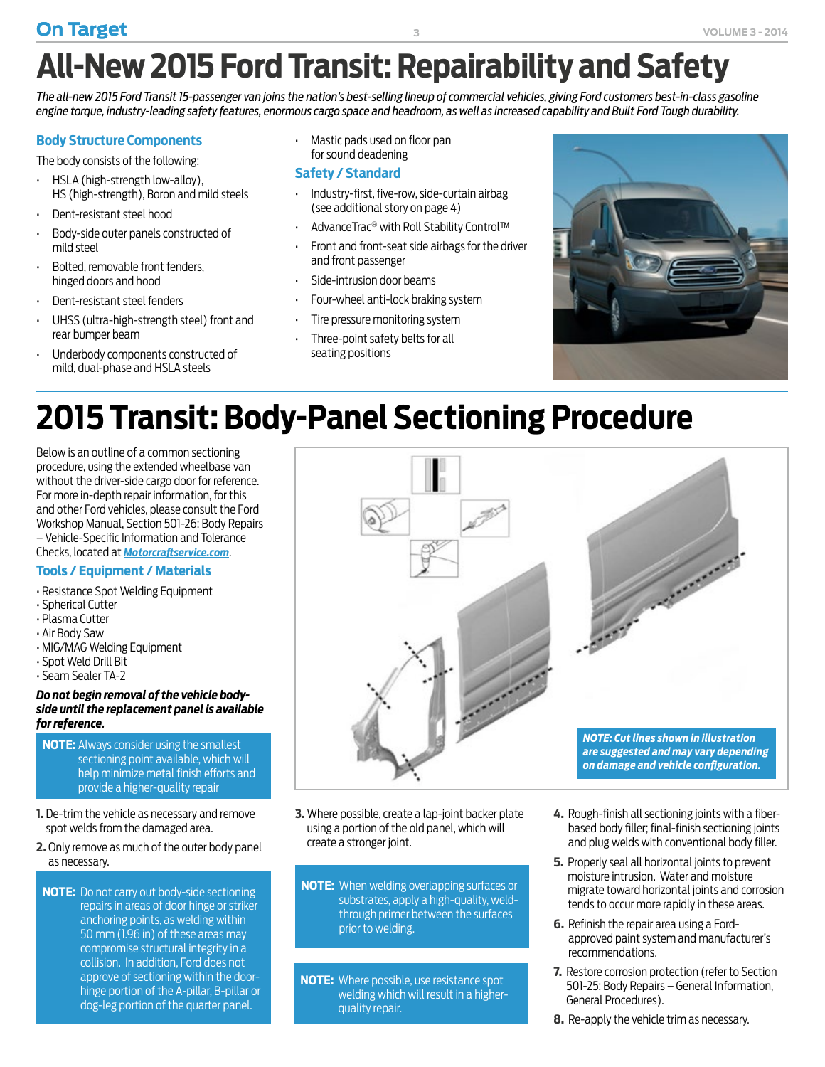# <span id="page-2-0"></span>**All-New 2015 Ford Transit: Repairability and Safety**

*The all-new 2015 Ford Transit 15-passenger van joins the nation's best-selling lineup of commercial vehicles, giving Ford customers best-in-class gasoline engine torque, industry-leading safety features, enormous cargo space and headroom, as well as increased capability and Built Ford Tough durability.*

### **Body Structure Components**

The body consists of the following:

- HSLA (high-strength low-alloy), HS (high-strength), Boron and mild steels
- Dent-resistant steel hood
- Body-side outer panels constructed of mild steel
- Bolted, removable front fenders, hinged doors and hood
- Dent-resistant steel fenders
- UHSS (ultra-high-strength steel) front and rear bumper beam
- Underbody components constructed of mild, dual-phase and HSLA steels

• Mastic pads used on floor pan for sound deadening

### **Safety / Standard**

- Industry-first, five-row, side-curtain airbag (see additional story on page 4)
- AdvanceTrac® with Roll Stability Control™
- Front and front-seat side airbags for the driver and front passenger
- Side-intrusion door beams
- Four-wheel anti-lock braking system
- Tire pressure monitoring system
- Three-point safety belts for all seating positions



# **2015 Transit: Body-Panel Sectioning Procedure**

Below is an outline of a common sectioning procedure, using the extended wheelbase van without the driver-side cargo door for reference. For more in-depth repair information, for this and other Ford vehicles, please consult the Ford Workshop Manual, Section 501-26: Body Repairs – Vehicle-Specific Information and Tolerance

Checks, located at *[Motorcraftservice.com](http://Motorcraftservice.com)*.

### **Tools / Equipment / Materials**

- Resistance Spot Welding Equipment
- Spherical Cutter
- Plasma Cutter
- Air Body Saw
- MIG/MAG Welding Equipment
- Spot Weld Drill Bit
- Seam Sealer TA-2

#### *Do not begin removal of the vehicle bodyside until the replacement panel is available for reference.*

- **NOTE:** Always consider using the smallest sectioning point available, which will help minimize metal finish efforts and provide a higher-quality repair
- **1.** De-trim the vehicle as necessary and remove spot welds from the damaged area.
- **2.** Only remove as much of the outer body panel as necessary.
- **NOTE:** Do not carry out body-side sectioning repairs in areas of door hinge or striker anchoring points, as welding within 50 mm (1.96 in) of these areas may compromise structural integrity in a collision. In addition, Ford does not approve of sectioning within the doorhinge portion of the A-pillar, B-pillar or dog-leg portion of the quarter panel.



- **3.** Where possible, create a lap-joint backer plate using a portion of the old panel, which will create a stronger joint.
- **NOTE:** When welding overlapping surfaces or substrates, apply a high-quality, weldthrough primer between the surfaces prior to welding.
- **NOTE:** Where possible, use resistance spot welding which will result in a higherquality repair.
- **4.** Rough-finish all sectioning joints with a fiberbased body filler; final-finish sectioning joints and plug welds with conventional body filler.
- **5.** Properly seal all horizontal joints to prevent moisture intrusion. Water and moisture migrate toward horizontal joints and corrosion tends to occur more rapidly in these areas.
- **6.** Refinish the repair area using a Fordapproved paint system and manufacturer's recommendations.
- **7.** Restore corrosion protection (refer to Section 501-25: Body Repairs – General Information, General Procedures).
- **8.** Re-apply the vehicle trim as necessary.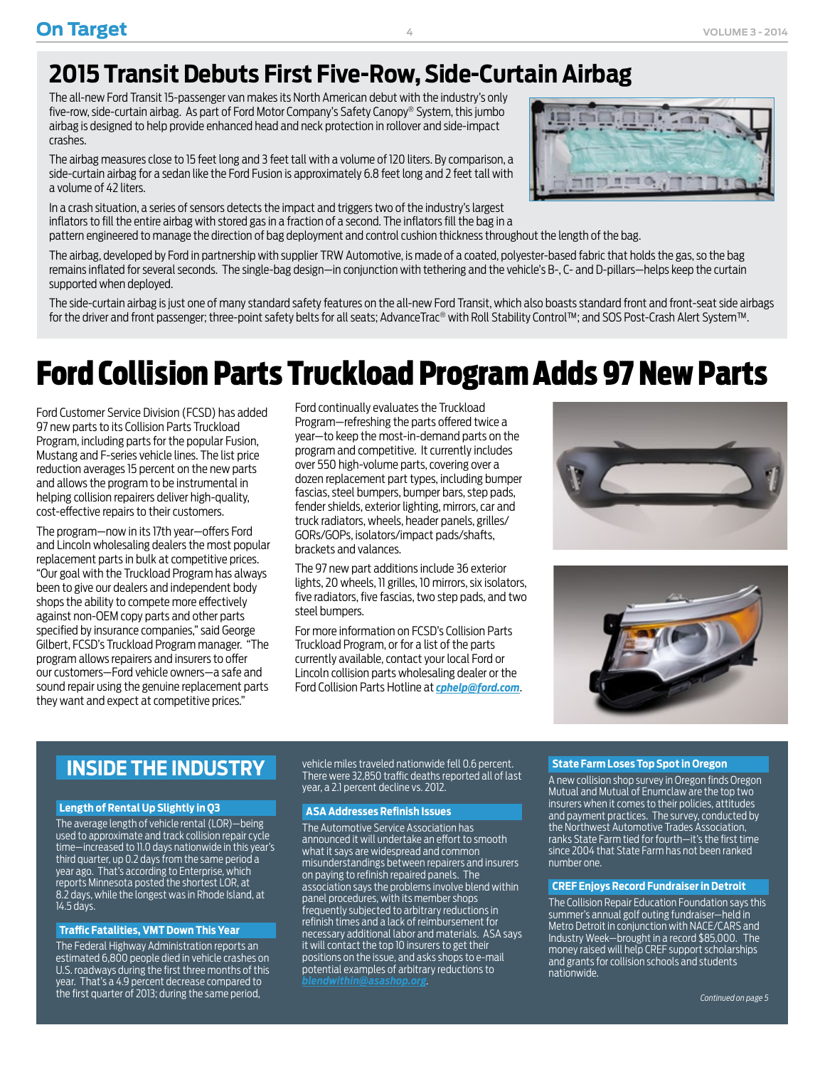## <span id="page-3-0"></span>**2015 Transit Debuts First Five-Row, Side-Curtain Airbag**

The all-new Ford Transit 15-passenger van makes its North American debut with the industry's only five-row, side-curtain airbag. As part of Ford Motor Company's Safety Canopy® System, this jumbo airbag is designed to help provide enhanced head and neck protection in rollover and side-impact crashes.

The airbag measures close to 15 feet long and 3 feet tall with a volume of 120 liters. By comparison, a side-curtain airbag for a sedan like the Ford Fusion is approximately 6.8 feet long and 2 feet tall with a volume of 42 liters.

In a crash situation, a series of sensors detects the impact and triggers two of the industry's largest inflators to fill the entire airbag with stored gas in a fraction of a second. The inflators fill the bag in a pattern engineered to manage the direction of bag deployment and control cushion thickness throughout the length of the bag.

The airbag, developed by Ford in partnership with supplier TRW Automotive, is made of a coated, polyester-based fabric that holds the gas, so the bag remains inflated for several seconds. The single-bag design—in conjunction with tethering and the vehicle's B-, C- and D-pillars—helps keep the curtain supported when deployed.

The side-curtain airbag is just one of many standard safety features on the all-new Ford Transit, which also boasts standard front and front-seat side airbags for the driver and front passenger; three-point safety belts for all seats; AdvanceTrac® with Roll Stability Control™; and SOS Post-Crash Alert System™.

# Ford Collision Parts Truckload Program Adds 97 New Parts

Ford Customer Service Division (FCSD) has added 97 new parts to its Collision Parts Truckload Program, including parts for the popular Fusion, Mustang and F-series vehicle lines. The list price reduction averages 15 percent on the new parts and allows the program to be instrumental in helping collision repairers deliver high-quality, cost-effective repairs to their customers.

The program—now in its 17th year—offers Ford and Lincoln wholesaling dealers the most popular replacement parts in bulk at competitive prices. "Our goal with the Truckload Program has always been to give our dealers and independent body shops the ability to compete more effectively against non-OEM copy parts and other parts specified by insurance companies," said George Gilbert, FCSD's Truckload Program manager. "The program allows repairers and insurers to offer our customers—Ford vehicle owners—a safe and sound repair using the genuine replacement parts they want and expect at competitive prices."

Ford continually evaluates the Truckload Program—refreshing the parts offered twice a year—to keep the most-in-demand parts on the program and competitive. It currently includes over 550 high-volume parts, covering over a dozen replacement part types, including bumper fascias, steel bumpers, bumper bars, step pads, fender shields, exterior lighting, mirrors, car and truck radiators, wheels, header panels, grilles/ GORs/GOPs, isolators/impact pads/shafts, brackets and valances.

The 97 new part additions include 36 exterior lights, 20 wheels, 11 grilles, 10 mirrors, six isolators, five radiators, five fascias, two step pads, and two steel bumpers.

For more information on FCSD's Collision Parts Truckload Program, or for a list of the parts currently available, contact your local Ford or Lincoln collision parts wholesaling dealer or the Ford Collision Parts Hotline at *[cphelp@ford.com](http://cphelp@ford.com)*.





## **INSIDE THE INDUSTRY**

#### **Length of Rental Up Slightly in Q3**

The average length of vehicle rental (LOR)—being used to approximate and track collision repair cycle time—increased to 11.0 days nationwide in this year's third quarter, up 0.2 days from the same period a year ago. That's according to Enterprise, which reports Minnesota posted the shortest LOR, at 8.2 days, while the longest was in Rhode Island, at 14.5 days.

#### **Traffic Fatalities, VMT Down This Year**

The Federal Highway Administration reports an estimated 6,800 people died in vehicle crashes on U.S. roadways during the first three months of this year. That's a 4.9 percent decrease compared to the first quarter of 2013; during the same period,

vehicle miles traveled nationwide fell 0.6 percent. There were 32,850 traffic deaths reported all of last year, a 2.1 percent decline vs. 2012.

#### **ASA Addresses Refinish Issues**

The Automotive Service Association has announced it will undertake an effort to smooth what it says are widespread and common misunderstandings between repairers and insurers on paying to refinish repaired panels. The association says the problems involve blend within panel procedures, with its member shops frequently subjected to arbitrary reductions in refinish times and a lack of reimbursement for necessary additional labor and materials. ASA says it will contact the top 10 insurers to get their positions on the issue, and asks shops to e-mail potential examples of arbitrary reductions to

#### **State Farm Loses Top Spot in Oregon**

A new collision shop survey in Oregon finds Oregon Mutual and Mutual of Enumclaw are the top two insurers when it comes to their policies, attitudes and payment practices. The survey, conducted by the Northwest Automotive Trades Association, ranks State Farm tied for fourth—it's the first time since 2004 that State Farm has not been ranked number one.

#### **CREF Enjoys Record Fundraiser in Detroit**

The Collision Repair Education Foundation says this summer's annual golf outing fundraiser—held in Metro Detroit in conjunction with NACE/CARS and Industry Week—brought in a record \$85,000. The money raised will help CREF support scholarships and grants for collision schools and students nationwide.

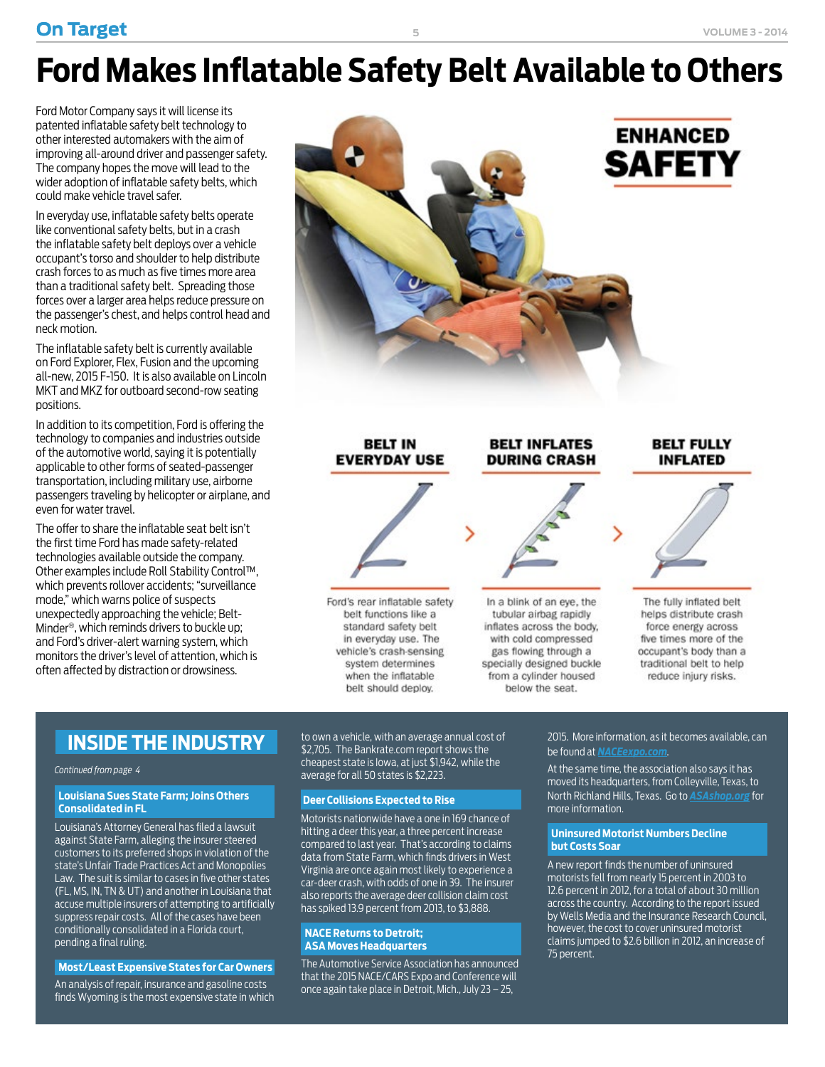## <span id="page-4-0"></span>**On Target 1 Constant 1 Constant 1 Constant 1 Constant 1 Constant 1 Constant 1 Constant 1 Constant 1 Constant 1 Constant 1 Constant 1 Constant 1 Constant 1 Constant 1 Constant 1 Constant 1**

# **Ford Makes Inflatable Safety Belt Available to Others**

Ford Motor Company says it will license its patented inflatable safety belt technology to other interested automakers with the aim of improving all-around driver and passenger safety. The company hopes the move will lead to the wider adoption of inflatable safety belts, which could make vehicle travel safer.

In everyday use, inflatable safety belts operate like conventional safety belts, but in a crash the inflatable safety belt deploys over a vehicle occupant's torso and shoulder to help distribute crash forces to as much as five times more area than a traditional safety belt. Spreading those forces over a larger area helps reduce pressure on the passenger's chest, and helps control head and neck motion.

The inflatable safety belt is currently available on Ford Explorer, Flex, Fusion and the upcoming all-new, 2015 F-150. It is also available on Lincoln MKT and MKZ for outboard second-row seating positions.

In addition to its competition, Ford is offering the technology to companies and industries outside of the automotive world, saying it is potentially applicable to other forms of seated-passenger transportation, including military use, airborne passengers traveling by helicopter or airplane, and even for water travel.

The offer to share the inflatable seat belt isn't the first time Ford has made safety-related technologies available outside the company. Other examples include Roll Stability Control™, which prevents rollover accidents; "surveillance mode," which warns police of suspects unexpectedly approaching the vehicle; Belt-Minder®, which reminds drivers to buckle up; and Ford's driver-alert warning system, which monitors the driver's level of attention, which is often affected by distraction or drowsiness.



## **INSIDE THE INDUSTRY**

#### *[Continued from page 4](#page-3-0)*

#### **Louisiana Sues State Farm; Joins Others Consolidated in FL**

Louisiana's Attorney General has filed a lawsuit against State Farm, alleging the insurer steered customers to its preferred shops in violation of the state's Unfair Trade Practices Act and Monopolies Law. The suit is similar to cases in five other states (FL, MS, IN, TN & UT) and another in Louisiana that accuse multiple insurers of attempting to artificially suppress repair costs. All of the cases have been conditionally consolidated in a Florida court, pending a final ruling.

#### **Most/Least Expensive States for Car Owners**

An analysis of repair, insurance and gasoline costs finds Wyoming is the most expensive state in which to own a vehicle, with an average annual cost of \$2,705. The Bankrate.com report shows the cheapest state is Iowa, at just \$1,942, while the average for all 50 states is \$2,223.

#### **Deer Collisions Expected to Rise**

Motorists nationwide have a one in 169 chance of hitting a deer this year, a three percent increase compared to last year. That's according to claims data from State Farm, which finds drivers in West Virginia are once again most likely to experience a car-deer crash, with odds of one in 39. The insurer also reports the average deer collision claim cost has spiked 13.9 percent from 2013, to \$3,888.

#### **NACE Returns to Detroit; ASA Moves Headquarters**

The Automotive Service Association has announced that the 2015 NACE/CARS Expo and Conference will once again take place in Detroit, Mich., July 23 – 25,

2015. More information, as it becomes available, can be found at *[NACEexpo.com](http://NACEexpo.com)*.

At the same time, the association also says it has moved its headquarters, from Colleyville, Texas, to North Richland Hills, Texas. Go to *[ASAshop.org](http://ASAshop.org)* for more information.

#### **Uninsured Motorist Numbers Decline but Costs Soar**

A new report finds the number of uninsured motorists fell from nearly 15 percent in 2003 to 12.6 percent in 2012, for a total of about 30 million across the country. According to the report issued by Wells Media and the Insurance Research Council, however, the cost to cover uninsured motorist claims jumped to \$2.6 billion in 2012, an increase of 75 percent.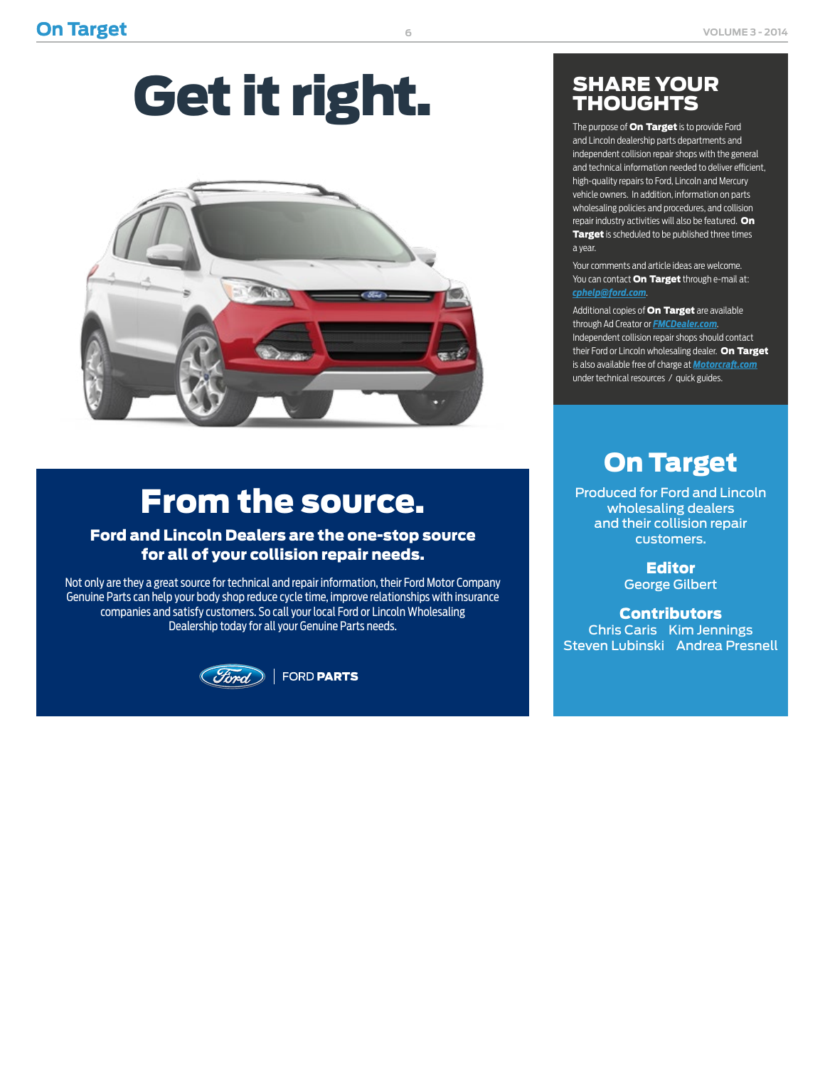# Get it right.



# From the source.

### Ford and Lincoln Dealers are the one-stop source for all of your collision repair needs.

Not only are they a great source for technical and repair information, their Ford Motor Company Genuine Parts can help your body shop reduce cycle time, improve relationships with insurance companies and satisfy customers. So call your local Ford or Lincoln Wholesaling Dealership today for all your Genuine Parts needs.



FORD PARTS

## SHARE YOUR **THOUGHTS**

The purpose of **On Target** is to provide Ford and Lincoln dealership parts departments and independent collision repair shops with the general and technical information needed to deliver efficient, high-quality repairs to Ford, Lincoln and Mercury vehicle owners. In addition, information on parts wholesaling policies and procedures, and collision repair industry activities will also be featured. On Target is scheduled to be published three times a year.

Your comments and article ideas are welcome. You can contact **On Target** through e-mail at: *[cphelp@ford.com](mailto:cphelp@ford.com)*.

Additional copies of **On Target** are available through Ad Creator or *[FMCDealer.com](https://www.wslx.dealerconnection.com)*. Independent collision repair shops should contact their Ford or Lincoln wholesaling dealer. On Target is also available free of charge at *[Motorcraft.com](http://Motorcraft.com)* under technical resources / quick guides.

## On Target

Produced for Ford and Lincoln wholesaling dealers and their collision repair customers.

> Editor George Gilbert

**Contributors** Chris Caris Kim Jennings Steven Lubinski Andrea Presnell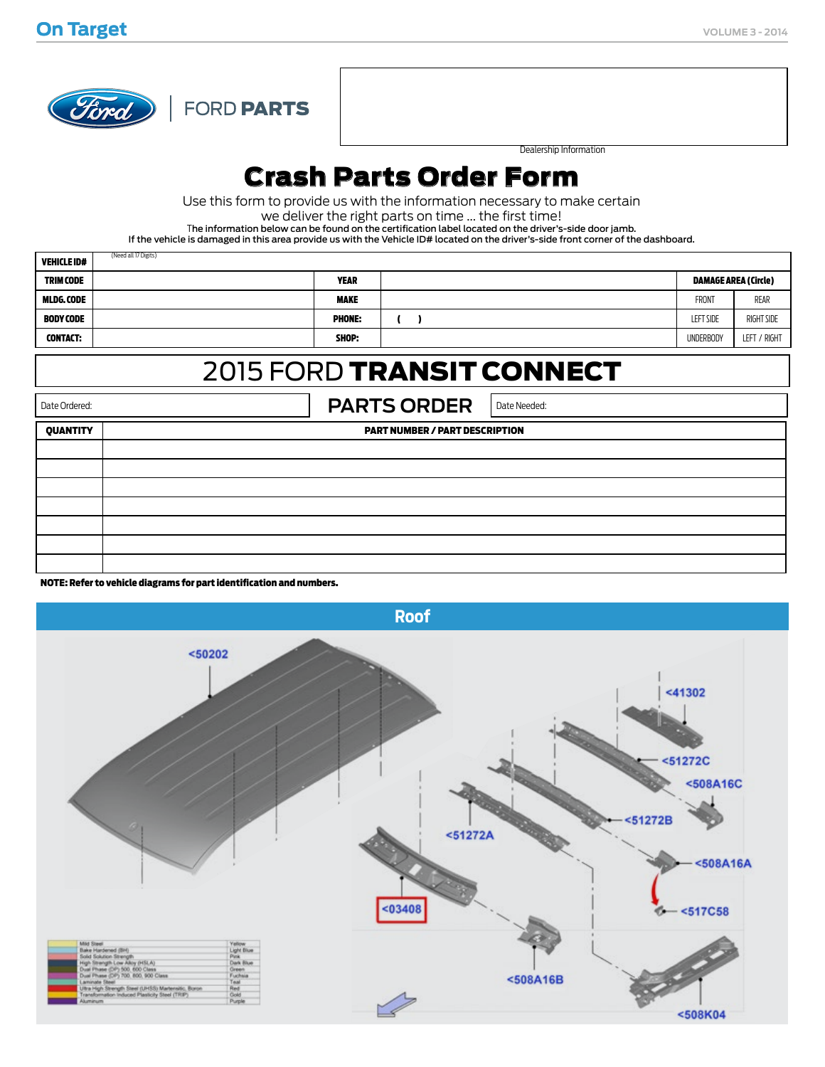

d all 17 Digits'

FORD PARTS

Dealership Information

## Crash Parts Order Form

Use this form to provide us with the information necessary to make certain

we deliver the right parts on time ... the first time!

The information below can be found on the certification label located on the driver's-side door jamb.

If the vehicle is damaged in this area provide us with the Vehicle ID# located on the driver's-side front corner of the dashboard.

| <b>VEHICLE ID#</b> | (Need all 17 Digits) |               |                      |                   |
|--------------------|----------------------|---------------|----------------------|-------------------|
| <b>TRIM CODE</b>   |                      | <b>YEAR</b>   | DAMAGE AREA (Circle) |                   |
| MLDG. CODE         |                      | <b>MAKE</b>   | <b>FRONT</b>         | REAR              |
| <b>BODY CODE</b>   |                      | <b>PHONE:</b> | <b>LEFT SIDE</b>     | <b>RIGHT SIDE</b> |
| <b>CONTACT:</b>    |                      | SHOP:         | <b>UNDERBODY</b>     | i / RIGHT<br>LEFT |

## 2015 FORD TRANSIT CONNECT

| Date Ordered: | <b>PARTS ORDER</b><br>Date Needed:    |  |  |  |  |
|---------------|---------------------------------------|--|--|--|--|
| QUANTITY      | <b>PART NUMBER / PART DESCRIPTION</b> |  |  |  |  |
|               |                                       |  |  |  |  |
|               |                                       |  |  |  |  |
|               |                                       |  |  |  |  |
|               |                                       |  |  |  |  |
|               |                                       |  |  |  |  |
|               |                                       |  |  |  |  |
|               |                                       |  |  |  |  |

NOTE: Refer to vehicle diagrams for part identification and numbers.